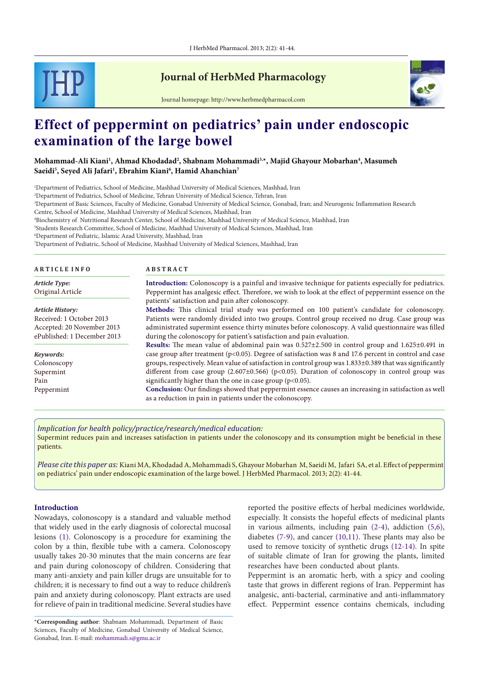

# **Journal of HerbMed Pharmacology**



Journal homepage: http://www.herbmedpharmacol.com

# **Effect of peppermint on pediatrics' pain under endoscopic examination of the large bowel**

## **Mohammad-Ali Kiani1 , Ahmad Khodadad2 , Shabnam Mohammadi3,\*, Majid Ghayour Mobarhan4 , Masumeh Saeidi5 , Seyed Ali Jafari1 , Ebrahim Kiani6 , Hamid Ahanchian7**

1 Department of Pediatrics, School of Medicine, Mashhad University of Medical Sciences, Mashhad, Iran

2 Department of Pediatrics, School of Medicine, Tehran University of Medical Science, Tehran, Iran

3 Department of Basic Sciences, Faculty of Medicine, Gonabad University of Medical Science, Gonabad, Iran; and Neurogenic Inflammation Research

Centre, School of Medicine, Mashhad University of Medical Sciences, Mashhad, Iran

4 Biochemistry of Nutritional Research Center, School of Medicine, Mashhad University of Medical Science, Mashhad, Iran

5 Students Research Committee, School of Medicine, Mashhad University of Medical Sciences, Mashhad, Iran

6 Department of Pediatric, Islamic Azad University, Mashhad, Iran

7 Department of Pediatric, School of Medicine, Mashhad University of Medical Sciences, Mashhad, Iran

| <b>ARTICLE INFO</b>         | <b>ABSTRACT</b>                                                                                                                                                   |
|-----------------------------|-------------------------------------------------------------------------------------------------------------------------------------------------------------------|
| <b>Article Type:</b>        | <b>Introduction:</b> Colonoscopy is a painful and invasive technique for patients especially for pediatrics.                                                      |
| Original Article            | Peppermint has analgesic effect. Therefore, we wish to look at the effect of peppermint essence on the                                                            |
|                             | patients' satisfaction and pain after colonoscopy.                                                                                                                |
| Article History:            | Methods: This clinical trial study was performed on 100 patient's candidate for colonoscopy.                                                                      |
| Received: 1 October 2013    | Patients were randomly divided into two groups. Control group received no drug. Case group was                                                                    |
| Accepted: 20 November 2013  | administrated supermint essence thirty minutes before colonoscopy. A valid questionnaire was filled                                                               |
| ePublished: 1 December 2013 | during the colonoscopy for patient's satisfaction and pain evaluation.                                                                                            |
|                             | <b>Results:</b> The mean value of abdominal pain was $0.527 \pm 2.500$ in control group and $1.625 \pm 0.491$ in                                                  |
| Keywords:                   | case group after treatment ( $p<0.05$ ). Degree of satisfaction was 8 and 17.6 percent in control and case                                                        |
| Colonoscopy                 | groups, respectively. Mean value of satisfaction in control group was 1.833±0.389 that was significantly                                                          |
| Supermint                   | different from case group (2.607±0.566) ( $p$ <0.05). Duration of colonoscopy in control group was                                                                |
| Pain                        | significantly higher than the one in case group ( $p<0.05$ ).                                                                                                     |
| Peppermint                  | Conclusion: Our findings showed that peppermint essence causes an increasing in satisfaction as well<br>as a reduction in pain in patients under the colonoscopy. |

#### *Implication for health policy/practice/research/medical education:*

Supermint reduces pain and increases satisfaction in patients under the colonoscopy and its consumption might be beneficial in these patients.

*Please cite this paper as:* Kiani MA, Khodadad A, Mohammadi S, Ghayour Mobarhan M, Saeidi M, Jafari SA, et al. Effect of peppermint on pediatrics' pain under endoscopic examination of the large bowel. J HerbMed Pharmacol. 2013; 2(2): 41-44.

#### **Introduction**

Nowadays, colonoscopy is a standard and valuable method that widely used in the early diagnosis of colorectal mucosal lesions [\(1](#page-2-0)). Colonoscopy is a procedure for examining the colon by a thin, flexible tube with a camera. Colonoscopy usually takes 20-30 minutes that the main concerns are fear and pain during colonoscopy of children. Considering that many anti-anxiety and pain killer drugs are unsuitable for to children; it is necessary to find out a way to reduce children's pain and anxiety during colonoscopy. Plant extracts are used for relieve of pain in traditional medicine. Several studies have reported the positive effects of herbal medicines worldwide, especially. It consists the hopeful effects of medicinal plants in various ailments, including pain [\(2](#page-2-1)[-4](#page-2-2)), addiction [\(5](#page-2-3)[,6](#page-2-4)), diabetes ([7](#page-2-5)-[9\)](#page-2-6), and cancer ([10](#page-2-7)[,11](#page-2-8)). These plants may also be used to remove toxicity of synthetic drugs ([12](#page-2-9)[-14\)](#page-2-10). In spite of suitable climate of Iran for growing the plants, limited researches have been conducted about plants.

Peppermint is an aromatic herb, with a spicy and cooling taste that grows in different regions of Iran. Peppermint has analgesic, anti-bacterial, carminative and anti-inflammatory effect. Peppermint essence contains chemicals, including

<sup>\*</sup>**Corresponding author**: Shabnam Mohammadi, Department of Basic Sciences, Faculty of Medicine, Gonabad University of Medical Science, Gonabad, Iran. E-mail: mohammadi.s@gmu.ac.ir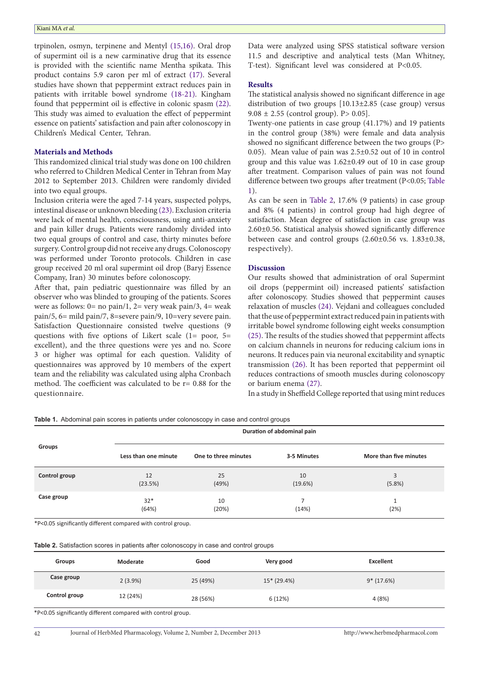trpinolen, osmyn, terpinene and Mentyl [\(15,](#page-2-11)[16\)](#page-2-12). Oral drop of supermint oil is a new carminative drug that its essence is provided with the scientific name Mentha spikata. This product contains 5.9 caron per ml of extract ([17](#page-2-13)). Several studies have shown that peppermint extract reduces pain in patients with irritable bowel syndrome [\(18](#page-2-14)[-21](#page-3-0)). Kingham found that peppermint oil is effective in colonic spasm ([22](#page-3-1)). This study was aimed to evaluation the effect of peppermint essence on patients' satisfaction and pain after colonoscopy in Children's Medical Center, Tehran.

#### **Materials and Methods**

This randomized clinical trial study was done on 100 children who referred to Children Medical Center in Tehran from May 2012 to September 2013. Children were randomly divided into two equal groups.

Inclusion criteria were the aged 7-14 years, suspected polyps, intestinal disease or unknown bleeding ([23](#page-3-2)). Exclusion criteria were lack of mental health, consciousness, using anti-anxiety and pain killer drugs. Patients were randomly divided into two equal groups of control and case, thirty minutes before surgery. Control group did not receive any drugs. Colonoscopy was performed under Toronto protocols. Children in case group received 20 ml oral supermint oil drop (Baryj Essence Company, Iran) 30 minutes before colonoscopy.

After that, pain pediatric questionnaire was filled by an observer who was blinded to grouping of the patients. Scores were as follows:  $0=$  no pain/1,  $2=$  very weak pain/3,  $4=$  weak pain/5, 6= mild pain/7, 8=severe pain/9, 10=very severe pain. Satisfaction Questionnaire consisted twelve questions (9 questions with five options of Likert scale (1= poor, 5= excellent), and the three questions were yes and no. Score 3 or higher was optimal for each question. Validity of questionnaires was approved by 10 members of the expert team and the reliability was calculated using alpha Cronbach method. The coefficient was calculated to be r= 0.88 for the questionnaire.

Data were analyzed using SPSS statistical software version 11.5 and descriptive and analytical tests (Man Whitney, T-test). Significant level was considered at P<0.05.

#### **Results**

The statistical analysis showed no significant difference in age distribution of two groups [10.13±2.85 (case group) versus 9.08  $\pm$  2.55 (control group). P > 0.05].

Twenty-one patients in case group (41.17%) and 19 patients in the control group (38%) were female and data analysis showed no significant difference between the two groups (P> 0.05). Mean value of pain was 2.5±0.52 out of 10 in control group and this value was 1.62±0.49 out of 10 in case group after treatment. Comparison values of pain was not found difference between two groups after treatment (P<0.05; [Table](#page-1-0)  [1](#page-1-0)).

As can be seen in [Table 2](#page-1-1), 17.6% (9 patients) in case group and 8% (4 patients) in control group had high degree of satisfaction. Mean degree of satisfaction in case group was 2.60±0.56. Statistical analysis showed significantly difference between case and control groups (2.60±0.56 vs. 1.83±0.38, respectively).

#### **Discussion**

Our results showed that administration of oral Supermint oil drops (peppermint oil) increased patients' satisfaction after colonoscopy. Studies showed that peppermint causes relaxation of muscles [\(24\)](#page-3-3). Vejdani and colleagues concluded that the use of peppermint extract reduced pain in patients with irritable bowel syndrome following eight weeks consumption ([25](#page-3-4)). The results of the studies showed that peppermint affects on calcium channels in neurons for reducing calcium ions in neurons. It reduces pain via neuronal excitability and synaptic transmission ([26](#page-3-5)). It has been reported that peppermint oil reduces contractions of smooth muscles during colonoscopy or barium enema ([27\)](#page-3-6).

In a study in Sheffield College reported that using mint reduces

<span id="page-1-0"></span>**Table 1.** Abdominal pain scores in patients under colonoscopy in case and control groups

|               | Duration of abdominal pain |                      |             |                        |
|---------------|----------------------------|----------------------|-------------|------------------------|
| <b>Groups</b> | Less than one minute       | One to three minutes | 3-5 Minutes | More than five minutes |
| Control group | 12                         | 25                   | 10          | 3                      |
|               | (23.5%)                    | (49%)                | (19.6%)     | (5.8%)                 |
| Case group    | $32*$                      | 10                   | ⇁           | 1                      |
|               | (64%)                      | (20%)                | (14%)       | (2%)                   |

\*P<0.05 significantly different compared with control group.

<span id="page-1-1"></span>

| <b>Table 2.</b> Satisfaction scores in patients after colonoscopy in case and control groups |  |  |  |
|----------------------------------------------------------------------------------------------|--|--|--|
|----------------------------------------------------------------------------------------------|--|--|--|

| <b>Groups</b>                                                                        | Moderate   | Good     | Very good    | Excellent   |  |
|--------------------------------------------------------------------------------------|------------|----------|--------------|-------------|--|
| Case group                                                                           | $2(3.9\%)$ | 25 (49%) | $15*(29.4%)$ | $9*(17.6%)$ |  |
| Control group                                                                        | 12 (24%)   | 28 (56%) | 6(12%)       | 4(8%)       |  |
| <b>*B</b> 20.0E at an if again in all the season are almost the constant against the |            |          |              |             |  |

<0.05 significantly different compared with control group.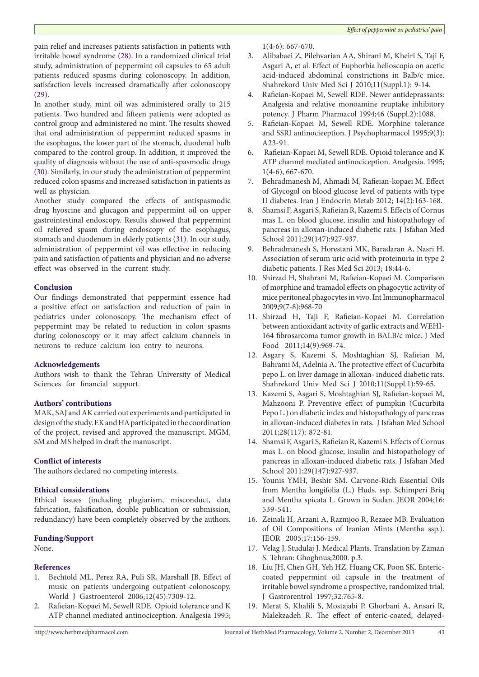pain relief and increases patients satisfaction in patients with irritable bowel syndrome [\(28\)](#page-3-7). In a randomized clinical trial study, administration of peppermint oil capsules to 65 adult patients reduced spasms during colonoscopy. In addition, satisfaction levels increased dramatically after colonoscopy ([29\)](#page-3-8).

In another study, mint oil was administered orally to 215 patients. Two hundred and fifteen patients were adopted as control group and administered no mint. The results showed that oral administration of peppermint reduced spasms in the esophagus, the lower part of the stomach, duodenal bulb compared to the control group. In addition, it improved the quality of diagnosis without the use of anti-spasmodic drugs ([30](#page-3-9)). Similarly, in our study the administration of peppermint reduced colon spasms and increased satisfaction in patients as well as physician.

Another study compared the effects of antispasmodic drug hyoscine and glucagon and peppermint oil on upper gastrointestinal endoscopy. Results showed that peppermint oil relieved spasm during endoscopy of the esophagus, stomach and duodenum in elderly patients ([31](#page-3-10)). In our study, administration of peppermint oil was effective in reducing pain and satisfaction of patients and physician and no adverse effect was observed in the current study.

#### **Conclusion**

Our findings demonstrated that peppermint essence had a positive effect on satisfaction and reduction of pain in pediatrics under colonoscopy. The mechanism effect of peppermint may be related to reduction in colon spasms during colonoscopy or it may affect calcium channels in neurons to reduce calcium ion entry to neurons.

## **Acknowledgements**

Authors wish to thank the Tehran University of Medical Sciences for financial support.

## **Authors' contributions**

MAK, SAJ and AK carried out experiments and participated in design of the study. EK and HA participated in the coordination of the project, revised and approved the manuscript. MGM, SM and MS helped in draft the manuscript.

#### **Conflict of interests**

The authors declared no competing interests.

# **Ethical considerations**

Ethical issues (including plagiarism, misconduct, data fabrication, falsification, double publication or submission, redundancy) have been completely observed by the authors.

## **Funding/Support**

None.

# **References**

- <span id="page-2-0"></span>1. Bechtold ML, Perez RA, Puli SR, Marshall JB. Effect of music on patients undergoing outpatient colonoscopy. World J Gastroenterol 2006;12(45):7309-12.
- <span id="page-2-1"></span>2. Rafieian-Kopaei M, Sewell RDE. Opioid tolerance and K ATP channel mediated antinociception. Analgesia 1995;

1(4-6): 667-670.

- 3. Alibabaei Z, Pilehvarian AA, Shirani M, Kheiri S, Taji F, Asgari A, et al. Effect of Euphorbia helioscopia on acetic acid-induced abdominal constrictions in Balb/c mice. Shahrekord Univ Med Sci J 2010;11(Suppl.1): 9-14.
- <span id="page-2-2"></span>4. Rafieian-Kopaei M, Sewell RDE. Newer antideprassants: Analgesia and relative monoamine reuptake inhibitory potency. J Pharm Pharmacol 1994;46 (Suppl.2):1088.
- <span id="page-2-3"></span>5. Rafieian-Kopaei M, Sewell RDE. Morphine tolerance and SSRI antinocieeption. J Psychopharmacol 1995;9(3): A23-91.
- <span id="page-2-4"></span>6. Rafieian-Kopaei M, Sewell RDE. Opioid tolerance and K ATP channel mediated antinociception. Analgesia. 1995; 1(4-6), 667-670.
- <span id="page-2-5"></span>7. Behradmanesh M, Ahmadi M, Rafieian-kopaei M. Effect of Glycogol on blood glucose level of patients with type II diabetes. Iran J Endocrin Metab 2012; 14(2):163-168.
- 8. Shamsi F, Asgari S, Rafieian R, Kazemi S. Effects of Cornus mas L. on blood glucose, insulin and histopathology of pancreas in alloxan-induced diabetic rats. J Isfahan Med School 2011;29(147):927-937.
- <span id="page-2-6"></span>9. Behradmanesh S, Horestani MK, Baradaran A, Nasri H. Association of serum uric acid with proteinuria in type 2 diabetic patients. J Res Med Sci 2013; 18:44-6.
- <span id="page-2-7"></span>10. Shirzad H, Shahrani M, Rafieian-Kopaei M. Comparison of morphine and tramadol effects on phagocytic activity of mice peritoneal phagocytes in vivo. Int Immunopharmacol 2009;9(7-8):968-70
- <span id="page-2-8"></span>11. Shirzad H, Taji F, Rafieian-Kopaei M. Correlation between antioxidant activity of garlic extracts and WEHI-164 fibrosarcoma tumor growth in BALB/c mice. J Med Food 2011;14(9):969-74.
- <span id="page-2-9"></span>12. Asgary S, Kazemi S, Moshtaghian SJ, Rafieian M, Bahrami M, Adelnia A. The protective effect of Cucurbita pepo L. on liver damage in alloxan- induced diabetic rats. Shahrekord Univ Med Sci J 2010;11(Suppl.1):59-65.
- 13. Kazemi S, Asgari S, Moshtaghian SJ, Rafieian-kopaei M, Mahzooni P. Preventive effect of pumpkin (Cucurbita Pepo L.) on diabetic index and histopathology of pancreas in alloxan-induced diabetes in rats. J Isfahan Med School 2011;28(117): 872-81.
- <span id="page-2-10"></span>14. Shamsi F, Asgari S, Rafieian R, Kazemi S. Effects of Cornus mas L. on blood glucose, insulin and histopathology of pancreas in alloxan-induced diabetic rats. J Isfahan Med School 2011;29(147):927-937.
- <span id="page-2-11"></span>15. Younis YMH, Beshir SM. Carvone-Rich Essential Oils from Mentha longifolia (L.) Huds. ssp. Schimperi Briq and Mentha spicata L. Grown in Sudan. JEOR 2004;16: 539-541.
- <span id="page-2-12"></span>16. Zeinali H, Arzani A, Razmjoo R, Rezaee MB. Evaluation of Oil Compositions of Iranian Mints (Mentha ssp.). JEOR 2005;17:156-159.
- <span id="page-2-13"></span>17. Velag J, Studulaj J. Medical Plants. Translation by Zaman S. Tehran: Ghoghnus;2000. p.3.
- <span id="page-2-14"></span>18. Liu JH, Chen GH, Yeh HZ, Huang CK, Poon SK. Entericcoated peppermint oil capsule in the treatment of irritable bowel syndrome a prospective, randomized trial. J Gastrorentrol 1997;32:765-8.
- 19. Merat S, Khalili S, Mostajabi P, Ghorbani A, Ansari R, Malekzadeh R. The effect of enteric-coated, delayed-